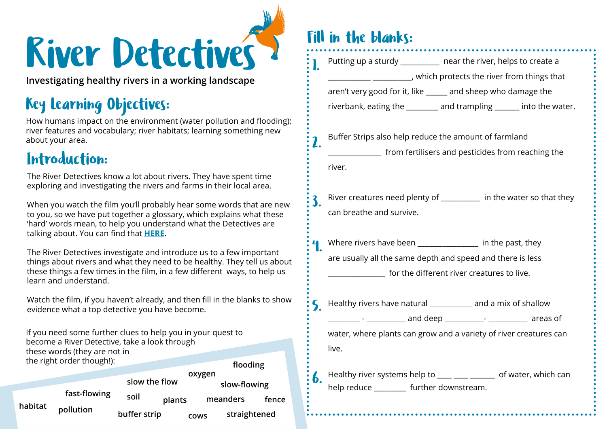# River Detectives

**Investigating healthy rivers in a working landscape**

# Key Learning Objectives:

How humans impact on the environment (water pollution and flooding); river features and vocabulary; river habitats; learning something new about your area.

#### Introduction:

The River Detectives know a lot about rivers. They have spent time exploring and investigating the rivers and farms in their local area.

When you watch the film you'll probably hear some words that are new to you, so we have put together a glossary, which explains what these 'hard' words mean, to help you understand what the Detectives are talking about. You can find that **[HERE](https://edenriverstrust.org.uk/wp-content/uploads/2021/01/River-Detectives-hard-words-sheet.pdf)**.

The River Detectives investigate and introduce us to a few important things about rivers and what they need to be healthy. They tell us about these things a few times in the film, in a few different ways, to help us learn and understand.

Watch the film, if you haven't already, and then fill in the blanks to show evidence what a top detective you have become.

If you need some further clues to help you in your quest to become a River Detective, take a look through these words (they are not in the right order though!): **flooding plants soil pollution slow-flowing meanders slow the flow buffer strip cows straightened habitat fast-flowing** soil **plants** meanders fence **cows oxygen**

### Fill in the blanks:

|                | Putting up a sturdy __________ near the river, helps to create a     |  |  |  |  |  |  |  |  |  |  |
|----------------|----------------------------------------------------------------------|--|--|--|--|--|--|--|--|--|--|
|                | ___________ ____________, which protects the river from things that  |  |  |  |  |  |  |  |  |  |  |
|                | aren't very good for it, like _____ and sheep who damage the         |  |  |  |  |  |  |  |  |  |  |
|                | riverbank, eating the ________ and trampling ______ into the water.  |  |  |  |  |  |  |  |  |  |  |
| 2.             | Buffer Strips also help reduce the amount of farmland                |  |  |  |  |  |  |  |  |  |  |
|                | sample in the form fertilisers and pesticides from reaching the      |  |  |  |  |  |  |  |  |  |  |
|                | river.                                                               |  |  |  |  |  |  |  |  |  |  |
| $\mathbf{3}$ . | River creatures need plenty of _________ in the water so that they   |  |  |  |  |  |  |  |  |  |  |
|                | can breathe and survive.                                             |  |  |  |  |  |  |  |  |  |  |
|                | Where rivers have been _________________ in the past, they           |  |  |  |  |  |  |  |  |  |  |
|                | are usually all the same depth and speed and there is less           |  |  |  |  |  |  |  |  |  |  |
|                | for the different river creatures to live.                           |  |  |  |  |  |  |  |  |  |  |
|                | S Healthy rivers have natural ___________ and a mix of shallow       |  |  |  |  |  |  |  |  |  |  |
|                | _________ - ___________ and deep ___________ - ____________ areas of |  |  |  |  |  |  |  |  |  |  |
|                | water, where plants can grow and a variety of river creatures can    |  |  |  |  |  |  |  |  |  |  |
|                | live.                                                                |  |  |  |  |  |  |  |  |  |  |
| 6.             | Healthy river systems help to ____ ____ ______ of water, which can   |  |  |  |  |  |  |  |  |  |  |
|                | help reduce ________ further downstream.                             |  |  |  |  |  |  |  |  |  |  |